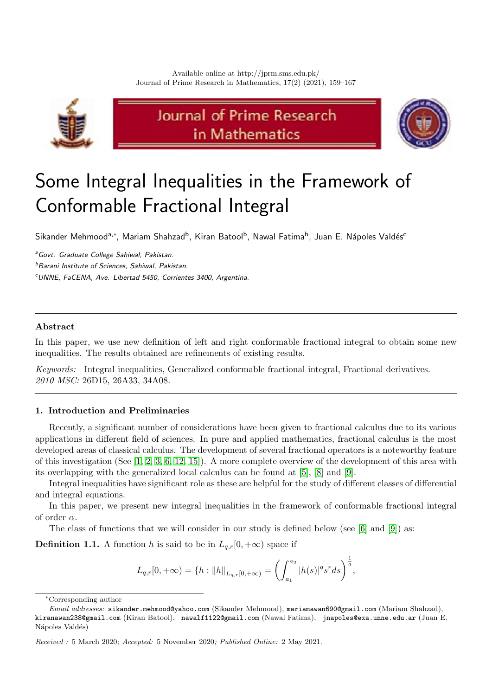

# Journal of Prime Research in Mathematics



# Some Integral Inequalities in the Framework of Conformable Fractional Integral

Sikander Mehmood<sup>a,∗</sup>, Mariam Shahzad<sup>b</sup>, Kiran Batool<sup>b</sup>, Nawal Fatima<sup>b</sup>, Juan E. Nápoles Valdés<sup>c</sup>

<sup>a</sup> Govt. Graduate College Sahiwal, Pakistan.

b Barani Institute of Sciences, Sahiwal, Pakistan.

<sup>c</sup>UNNE, FaCENA, Ave. Libertad 5450, Corrientes 3400, Argentina.

## Abstract

In this paper, we use new definition of left and right conformable fractional integral to obtain some new inequalities. The results obtained are refinements of existing results.

Keywords: Integral inequalities, Generalized conformable fractional integral, Fractional derivatives. 2010 MSC: 26D15, 26A33, 34A08.

### <span id="page-0-0"></span>1. Introduction and Preliminaries

Recently, a significant number of considerations have been given to fractional calculus due to its various applications in different field of sciences. In pure and applied mathematics, fractional calculus is the most developed areas of classical calculus. The development of several fractional operators is a noteworthy feature of this investigation (See [\[1,](#page-8-0) [2,](#page-8-1) [3,](#page-8-2) [6,](#page-8-3) [12,](#page-8-4) [15\]](#page-8-5)). A more complete overview of the development of this area with its overlapping with the generalized local calculus can be found at [\[5\]](#page-8-6), [\[8\]](#page-8-7) and [\[9\]](#page-8-8).

Integral inequalities have significant role as these are helpful for the study of different classes of differential and integral equations.

In this paper, we present new integral inequalities in the framework of conformable fractional integral of order  $\alpha$ .

The class of functions that we will consider in our study is defined below (see [\[6\]](#page-8-3) and [\[9\]](#page-8-8)) as:

<span id="page-0-1"></span>**Definition 1.1.** A function h is said to be in  $L_{q,r}[0, +\infty)$  space if

$$
L_{q,r}[0,+\infty) = \{ h : ||h||_{L_{q,r}[0,+\infty)} = \left( \int_{a_1}^{a_2} |h(s)|^q s^r ds \right)^{\frac{1}{q}},
$$

<sup>∗</sup>Corresponding author

Email addresses: sikander.mehmood@yahoo.com (Sikander Mehmood), mariamawan690@gmail.com (Mariam Shahzad), kiranawan238@gmail.com (Kiran Batool), nawalf1122@gmail.com (Nawal Fatima), jnapoles@exa.unne.edu.ar (Juan E. Nápoles Valdés)

Received : 5 March 2020; Accepted: 5 November 2020; Published Online: 2 May 2021.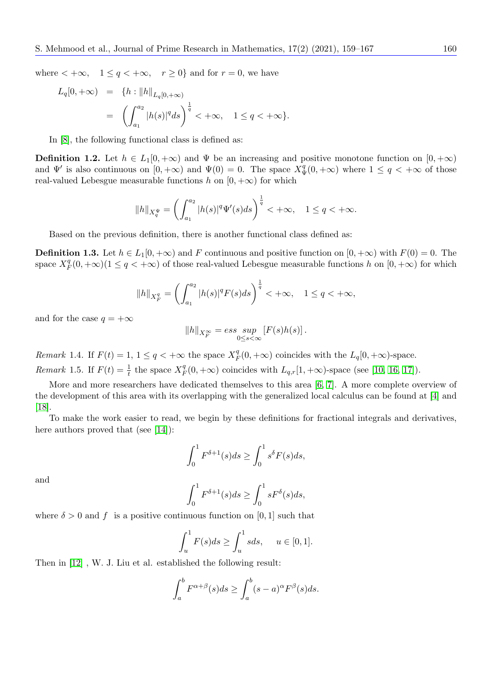where  $\langle +\infty, 1 \leq q \leq +\infty, r \geq 0 \rangle$  and for  $r = 0$ , we have

$$
L_q[0, +\infty) = \{ h : ||h||_{L_q[0, +\infty)}
$$
  
=  $\left( \int_{a_1}^{a_2} |h(s)|^q ds \right)^{\frac{1}{q}} < +\infty, \quad 1 \le q < +\infty \}.$ 

In [\[8\]](#page-8-7), the following functional class is defined as:

**Definition 1.2.** Let  $h \in L_1[0, +\infty)$  and  $\Psi$  be an increasing and positive monotone function on  $[0, +\infty)$ and  $\Psi'$  is also continuous on  $[0, +\infty)$  and  $\Psi(0) = 0$ . The space  $X_{\Psi}^q(0, +\infty)$  where  $1 \leq q < +\infty$  of those real-valued Lebesgue measurable functions h on  $[0, +\infty)$  for which

$$
||h||_{X_q^{\Psi}} = \left(\int_{a_1}^{a_2} |h(s)|^q \Psi'(s) ds\right)^{\frac{1}{q}} < +\infty, \quad 1 \le q < +\infty.
$$

Based on the previous definition, there is another functional class defined as:

**Definition 1.3.** Let  $h \in L_1[0, +\infty)$  and F continuous and positive function on  $[0, +\infty)$  with  $F(0) = 0$ . The space  $X_F^q(0, +\infty)$  ( $1 \leq q < +\infty$ ) of those real-valued Lebesgue measurable functions h on  $[0, +\infty)$  for which

$$
||h||_{X_F^q} = \left(\int_{a_1}^{a_2} |h(s)|^q F(s) ds\right)^{\frac{1}{q}} < +\infty, \quad 1 \le q < +\infty,
$$

and for the case  $q = +\infty$ 

$$
||h||_{X_F^{\infty}} = \operatorname{ess} \sup_{0 \le s < \infty} [F(s)h(s)].
$$

Remark 1.4. If  $F(t) = 1, 1 \le q < +\infty$  the space  $X_F^q(0, +\infty)$  coincides with the  $L_q[0, +\infty)$ -space.

<span id="page-1-0"></span>Remark 1.5. If  $F(t) = \frac{1}{t}$  the space  $X_F^q(0, +\infty)$  coincides with  $L_{q,r}[1, +\infty)$ -space (see [\[10,](#page-8-9) [16,](#page-8-10) [17\]](#page-8-11)).

More and more researchers have dedicated themselves to this area [\[6,](#page-8-3) [7\]](#page-8-12). A more complete overview of the development of this area with its overlapping with the generalized local calculus can be found at [\[4\]](#page-8-13) and  $|18|$ .

To make the work easier to read, we begin by these definitions for fractional integrals and derivatives, here authors proved that (see [\[14\]](#page-8-15)):

$$
\int_0^1 F^{\delta+1}(s)ds \ge \int_0^1 s^\delta F(s)ds,
$$

and

$$
\int_0^1 F^{\delta+1}(s)ds \ge \int_0^1 sF^{\delta}(s)ds,
$$

where  $\delta > 0$  and f is a positive continuous function on [0, 1] such that

$$
\int_u^1 F(s)ds \ge \int_u^1 sds, \quad u \in [0,1].
$$

Then in [\[12\]](#page-8-4) , W. J. Liu et al. established the following result:

$$
\int_a^b F^{\alpha+\beta}(s)ds \ge \int_a^b (s-a)^{\alpha} F^{\beta}(s)ds.
$$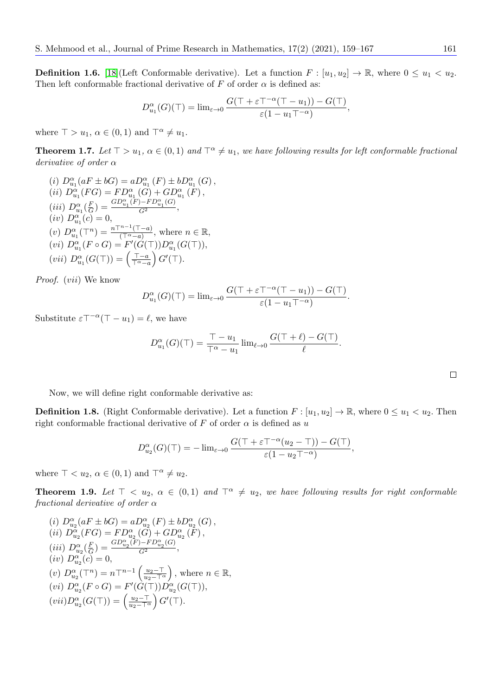<span id="page-2-0"></span>**Definition 1.6.** [\[18\]](#page-8-14)(Left Conformable derivative). Let a function  $F : [u_1, u_2] \to \mathbb{R}$ , where  $0 \le u_1 < u_2$ . Then left conformable fractional derivative of F of order  $\alpha$  is defined as:

$$
D_{u_1}^{\alpha}(G)(\top) = \lim_{\varepsilon \to 0} \frac{G(\top + \varepsilon \top^{-\alpha}(\top - u_1)) - G(\top)}{\varepsilon (1 - u_1 \top^{-\alpha})},
$$

where  $\top > u_1, \alpha \in (0,1)$  and  $\top^{\alpha} \neq u_1$ .

**Theorem 1.7.** Let  $\top > u_1$ ,  $\alpha \in (0,1)$  and  $\top^{\alpha} \neq u_1$ , we have following results for left conformable fractional derivative of order α

(i)  $D_{u_1}^{\alpha}(aF \pm bG) = aD_{u_1}^{\alpha}(F) \pm bD_{u_1}^{\alpha}(G)$ , (*ii*)  $D_{u_1}^{\alpha}(FG) = FD_{u_1}^{\alpha}(G) + GD_{u_1}^{\alpha}(F)$ , (iii)  $D_{u_1}^{\alpha}(\frac{F}{G}) = \frac{GD_{u_1}^{\alpha}(F) - FD_{u_1}^{\alpha}(G)}{G^2},$  $(iv) D_{u_1}^{\alpha} (c) = 0,$ (v)  $D_{u_1}^{\alpha}(\mathsf{T}^n) = \frac{n \mathsf{T}^{n-1}(\mathsf{T}-a)}{(\mathsf{T}^{\alpha}-a)},$  where  $n \in \mathbb{R},$ (vi)  $D_{u_1}^{\alpha}(F \circ G) = F'(G(\top))D_{u_1}^{\alpha}(G(\top)),$ (vii)  $D_{u_1}^{\alpha}(G(\top)) = \left(\frac{\top - a}{\top^{\alpha} - a}\right) G'(\top).$ 

Proof. (vii) We know

$$
D_{u_1}^{\alpha}(G)(\top) = \lim_{\varepsilon \to 0} \frac{G(\top + \varepsilon \top^{-\alpha}(\top - u_1)) - G(\top)}{\varepsilon (1 - u_1 \top^{-\alpha})}.
$$

Substitute  $\varepsilon \top^{-\alpha}(\top - u_1) = \ell$ , we have

$$
D_{u_1}^{\alpha}(G)(\top) = \frac{\top - u_1}{\top^{\alpha} - u_1} \lim_{\ell \to 0} \frac{G(\top + \ell) - G(\top)}{\ell}.
$$

Now, we will define right conformable derivative as:

**Definition 1.8.** (Right Conformable derivative). Let a function  $F : [u_1, u_2] \to \mathbb{R}$ , where  $0 \le u_1 \le u_2$ . Then right conformable fractional derivative of F of order  $\alpha$  is defined as u

$$
D_{u_2}^{\alpha}(G)(\top) = -\lim_{\varepsilon \to 0} \frac{G(\top + \varepsilon \top^{-\alpha} (u_2 - \top)) - G(\top)}{\varepsilon (1 - u_2 \top^{-\alpha})},
$$

where  $\top < u_2, \alpha \in (0,1)$  and  $\top^{\alpha} \neq u_2$ .

**Theorem 1.9.** Let  $\top < u_2$ ,  $\alpha \in (0,1)$  and  $\top^{\alpha} \neq u_2$ , we have following results for right conformable fractional derivative of order  $\alpha$ 

(i) 
$$
D_{u_2}^{\alpha}(aF \pm bG) = aD_{u_2}^{\alpha}(F) \pm bD_{u_2}^{\alpha}(G)
$$
,  
\n(ii)  $D_{u_2}^{\alpha}(FG) = FD_{u_2}^{\alpha}(G) + GD_{u_2}^{\alpha}(F)$ ,  
\n(iii)  $D_{u_2}^{\alpha}(\frac{F}{G}) = \frac{GD_{u_2}^{\alpha}(F) - FD_{u_2}^{\alpha}(G)}{G^2}$ ,  
\n(iv)  $D_{u_2}^{\alpha}(c) = 0$ ,  
\n(v)  $D_{u_2}^{\alpha}(T^n) = nT^{n-1}\left(\frac{u_2 - T}{u_2 - T^{\alpha}}\right)$ , where  $n \in \mathbb{R}$ ,  
\n(vi)  $D_{u_2}^{\alpha}(F \circ G) = F'(G(T))D_{u_2}^{\alpha}(G(T))$ ,  
\n(vii)  $D_{u_2}^{\alpha}(G(T)) = \left(\frac{u_2 - T}{u_2 - T^{\alpha}}\right)G'(\top)$ .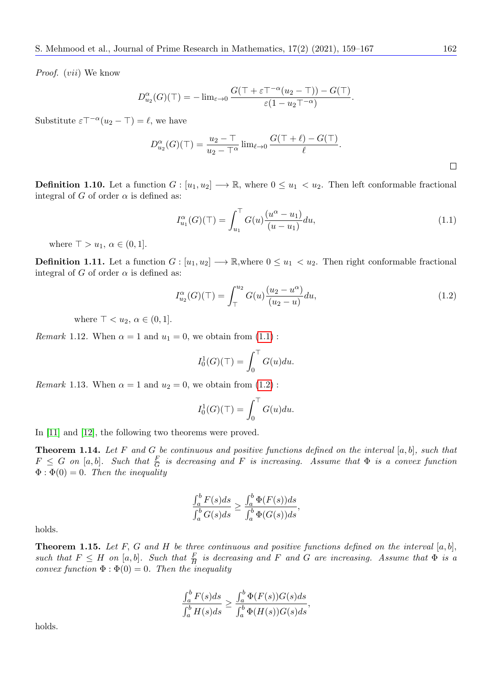Proof. (vii) We know

$$
D_{u_2}^{\alpha}(G)(\top) = -\lim_{\varepsilon \to 0} \frac{G(\top + \varepsilon \top^{-\alpha}(u_2 - \top)) - G(\top)}{\varepsilon(1 - u_2 \top^{-\alpha})}.
$$

Substitute  $\varepsilon \top^{-\alpha} (u_2 - \top) = \ell$ , we have

$$
D_{u_2}^{\alpha}(G)(\top) = \frac{u_2 - \top}{u_2 - \top^{\alpha}} \lim_{\ell \to 0} \frac{G(\top + \ell) - G(\top)}{\ell}.
$$

<span id="page-3-2"></span>**Definition 1.10.** Let a function  $G : [u_1, u_2] \longrightarrow \mathbb{R}$ , where  $0 \leq u_1 < u_2$ . Then left conformable fractional integral of G of order  $\alpha$  is defined as:

<span id="page-3-0"></span>
$$
I_{u_1}^{\alpha}(G)(\top) = \int_{u_1}^{\top} G(u) \frac{(u^{\alpha} - u_1)}{(u - u_1)} du,
$$
\n(1.1)

where  $\top > u_1, \alpha \in (0, 1].$ 

<span id="page-3-3"></span>**Definition 1.11.** Let a function  $G : [u_1, u_2] \longrightarrow \mathbb{R}$ , where  $0 \leq u_1 < u_2$ . Then right conformable fractional integral of G of order  $\alpha$  is defined as:

<span id="page-3-1"></span>
$$
I_{u_2}^{\alpha}(G)(\top) = \int_{\top}^{u_2} G(u) \frac{(u_2 - u^{\alpha})}{(u_2 - u)} du,
$$
\n(1.2)

where  $\top < u_2, \alpha \in (0,1]$ .

*Remark* 1.12. When  $\alpha = 1$  and  $u_1 = 0$ , we obtain from  $(1.1)$  $(1.1)$ :

$$
I_0^1(G)(\top) = \int_0^\top G(u) du.
$$

<span id="page-3-5"></span>*Remark* 1.13. When  $\alpha = 1$  and  $u_2 = 0$ , we obtain from  $(1.2)$  $(1.2)$ :

$$
I_0^1(G)(\top) = \int_0^\top G(u) du.
$$

In [\[11\]](#page-8-16) and [\[12\]](#page-8-4), the following two theorems were proved.

<span id="page-3-4"></span>**Theorem 1.14.** Let F and G be continuous and positive functions defined on the interval  $[a, b]$ , such that  $F \leq G$  on  $[a, b]$ . Such that  $\frac{F}{G}$  is decreasing and F is increasing. Assume that  $\Phi$  is a convex function  $\Phi : \Phi(0) = 0$ . Then the inequality

$$
\frac{\int_a^b F(s)ds}{\int_a^b G(s)ds} \ge \frac{\int_a^b \Phi(F(s))ds}{\int_a^b \Phi(G(s))ds},
$$

holds.

**Theorem 1.15.** Let F, G and H be three continuous and positive functions defined on the interval  $[a, b]$ , such that  $F \leq H$  on [a, b]. Such that  $\frac{F}{H}$  is decreasing and F and G are increasing. Assume that  $\Phi$  is a convex function  $\Phi : \Phi(0) = 0$ . Then the inequality

$$
\frac{\int_a^b F(s)ds}{\int_a^b H(s)ds} \ge \frac{\int_a^b \Phi(F(s))G(s)ds}{\int_a^b \Phi(H(s))G(s)ds},
$$

holds.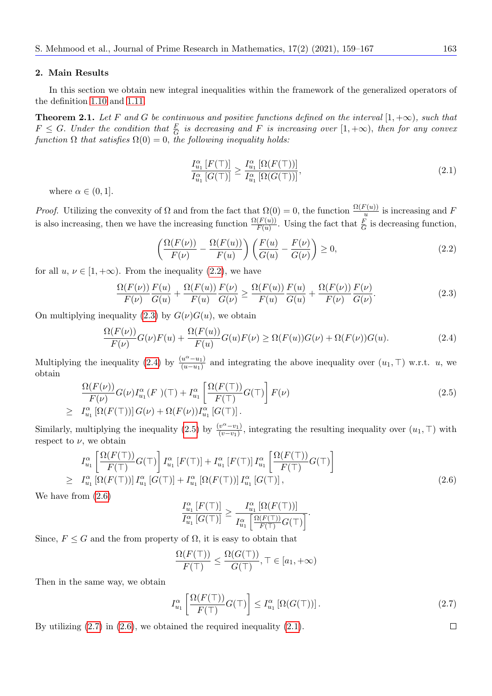#### 2. Main Results

In this section we obtain new integral inequalities within the framework of the generalized operators of the definition [1.10](#page-3-2) and [1.11.](#page-3-3)

<span id="page-4-7"></span>**Theorem 2.1.** Let F and G be continuous and positive functions defined on the interval  $[1, +\infty)$ , such that  $F \leq G$ . Under the condition that  $\frac{F}{G}$  is decreasing and F is increasing over  $[1, +\infty)$ , then for any convex function  $\Omega$  that satisfies  $\Omega(0) = 0$ , the following inequality holds:

<span id="page-4-6"></span>
$$
\frac{I_{u_1}^{\alpha}[F(\top)]}{I_{u_1}^{\alpha}[G(\top)]} \ge \frac{I_{u_1}^{\alpha}[\Omega(F(\top))]}{I_{u_1}^{\alpha}[\Omega(G(\top))]},
$$
\n(2.1)

where  $\alpha \in (0, 1]$ .

*Proof.* Utilizing the convexity of  $\Omega$  and from the fact that  $\Omega(0) = 0$ , the function  $\frac{\Omega(F(u))}{u}$  is increasing and F is also increasing, then we have the increasing function  $\frac{\Omega(F(u))}{F(u)}$ . Using the fact that  $\frac{F}{G}$  is decreasing function,

<span id="page-4-0"></span>
$$
\left(\frac{\Omega(F(\nu))}{F(\nu)} - \frac{\Omega(F(u))}{F(u)}\right) \left(\frac{F(u)}{G(u)} - \frac{F(\nu)}{G(\nu)}\right) \ge 0,
$$
\n(2.2)

for all  $u, v \in [1, +\infty)$ . From the inequality (2.[2\)](#page-4-0), we have

<span id="page-4-1"></span>
$$
\frac{\Omega(F(\nu))}{F(\nu)} \frac{F(u)}{G(u)} + \frac{\Omega(F(u))}{F(u)} \frac{F(\nu)}{G(\nu)} \ge \frac{\Omega(F(u))}{F(u)} \frac{F(u)}{G(u)} + \frac{\Omega(F(\nu))}{F(\nu)} \frac{F(\nu)}{G(\nu)}.
$$
\n(2.3)

On multiplying inequality (2.[3\)](#page-4-1) by  $G(\nu)G(u)$ , we obtain

<span id="page-4-2"></span>
$$
\frac{\Omega(F(\nu))}{F(\nu)}G(\nu)F(u) + \frac{\Omega(F(u))}{F(u)}G(u)F(\nu) \ge \Omega(F(u))G(\nu) + \Omega(F(\nu))G(u). \tag{2.4}
$$

Multiplying the inequality [\(2](#page-4-2).4) by  $\frac{(u^{\alpha}-u_1)}{(u-u_1)}$  and integrating the above inequality over  $(u_1, \top)$  w.r.t. u, we obtain

<span id="page-4-3"></span>
$$
\frac{\Omega(F(\nu))}{F(\nu)}G(\nu)I_{u_1}^{\alpha}(F)(\top) + I_{u_1}^{\alpha}\left[\frac{\Omega(F(\top))}{F(\top)}G(\top)\right]F(\nu)
$$
\n
$$
\geq I_{u_1}^{\alpha}\left[\Omega(F(\top))\right]G(\nu) + \Omega(F(\nu))I_{u_1}^{\alpha}\left[G(\top)\right].
$$
\n(2.5)

Similarly, multiplying the inequality [\(2.5\)](#page-4-3) by  $\frac{(v^{\alpha}-v_1)}{(v-v_1)}$ , integrating the resulting inequality over  $(u_1, \top)$  with respect to  $\nu$ , we obtain

<span id="page-4-4"></span>
$$
I_{u_1}^{\alpha} \left[ \frac{\Omega(F(\top))}{F(\top)} G(\top) \right] I_{u_1}^{\alpha} \left[ F(\top) \right] + I_{u_1}^{\alpha} \left[ F(\top) \right] I_{u_1}^{\alpha} \left[ \frac{\Omega(F(\top))}{F(\top)} G(\top) \right]
$$
  
\n
$$
\geq I_{u_1}^{\alpha} \left[ \Omega(F(\top)) \right] I_{u_1}^{\alpha} \left[ G(\top) \right] + I_{u_1}^{\alpha} \left[ \Omega(F(\top)) \right] I_{u_1}^{\alpha} \left[ G(\top) \right], \tag{2.6}
$$

We have from [\(2](#page-4-4).6)

$$
\frac{I_{u_1}^{\alpha}[F(\top)]}{I_{u_1}^{\alpha}[G(\top)]} \ge \frac{I_{u_1}^{\alpha}[\Omega(F(\top))]}{I_{u_1}^{\alpha}[\frac{\Omega(F(\top))}{F(\top)}G(\top)]}.
$$

Since,  $F \leq G$  and the from property of  $\Omega$ , it is easy to obtain that

$$
\frac{\Omega(F(\top))}{F(\top)} \le \frac{\Omega(G(\top))}{G(\top)}, \top \in [a_1, +\infty)
$$

Then in the same way, we obtain

<span id="page-4-5"></span>
$$
I_{u_1}^{\alpha} \left[ \frac{\Omega(F(\top))}{F(\top)} G(\top) \right] \le I_{u_1}^{\alpha} \left[ \Omega(G(\top)) \right]. \tag{2.7}
$$

By utilizing [\(2](#page-4-5).7) in [\(2](#page-4-4).6), we obtained the required inequality [\(2](#page-4-6).1).

 $\Box$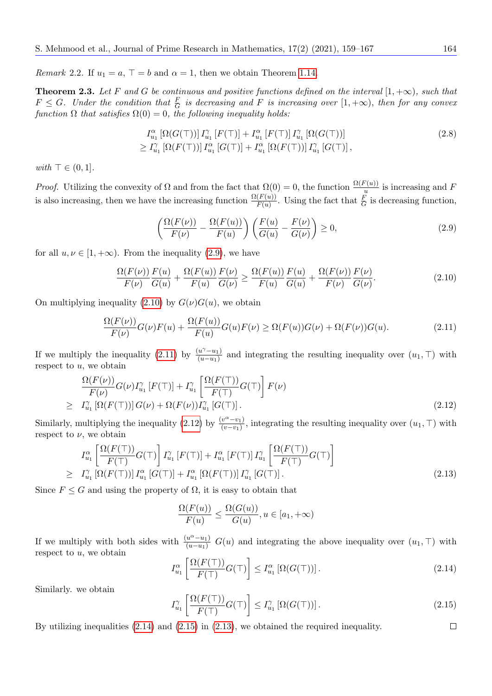Remark 2.2. If  $u_1 = a$ ,  $\top = b$  and  $\alpha = 1$ , then we obtain Theorem [1.14.](#page-3-4)

**Theorem 2.3.** Let F and G be continuous and positive functions defined on the interval  $[1, +\infty)$ , such that  $F \leq G$ . Under the condition that  $\frac{F}{G}$  is decreasing and F is increasing over  $[1, +\infty)$ , then for any convex function  $\Omega$  that satisfies  $\Omega(0) = 0$ , the following inequality holds:

$$
I_{u_1}^{\alpha} [\Omega(G(\top))] I_{u_1}^{\gamma} [F(\top)] + I_{u_1}^{\alpha} [F(\top)] I_{u_1}^{\gamma} [\Omega(G(\top))]
$$
  
\n
$$
\geq I_{u_1}^{\gamma} [\Omega(F(\top))] I_{u_1}^{\alpha} [G(\top)] + I_{u_1}^{\alpha} [\Omega(F(\top))] I_{u_1}^{\gamma} [G(\top)],
$$
\n(2.8)

with  $\top \in (0, 1]$ .

*Proof.* Utilizing the convexity of  $\Omega$  and from the fact that  $\Omega(0) = 0$ , the function  $\frac{\Omega(F(u))}{u}$  is increasing and F is also increasing, then we have the increasing function  $\frac{\Omega(F(u))}{F(u)}$ . Using the fact that  $\frac{F}{G}$  is decreasing function,

<span id="page-5-7"></span><span id="page-5-0"></span>
$$
\left(\frac{\Omega(F(\nu))}{F(\nu)} - \frac{\Omega(F(u))}{F(u)}\right) \left(\frac{F(u)}{G(u)} - \frac{F(\nu)}{G(\nu)}\right) \ge 0,
$$
\n(2.9)

for all  $u, \nu \in [1, +\infty)$ . From the inequality (2.[9\)](#page-5-0), we have

<span id="page-5-1"></span>
$$
\frac{\Omega(F(\nu))}{F(\nu)} \frac{F(u)}{G(u)} + \frac{\Omega(F(u))}{F(u)} \frac{F(\nu)}{G(\nu)} \ge \frac{\Omega(F(u))}{F(u)} \frac{F(u)}{G(u)} + \frac{\Omega(F(\nu))}{F(\nu)} \frac{F(\nu)}{G(\nu)}.
$$
\n(2.10)

On multiplying inequality (2.[10\)](#page-5-1) by  $G(\nu)G(u)$ , we obtain

<span id="page-5-2"></span>
$$
\frac{\Omega(F(\nu))}{F(\nu)}G(\nu)F(u) + \frac{\Omega(F(u))}{F(u)}G(u)F(\nu) \ge \Omega(F(u))G(\nu) + \Omega(F(\nu))G(u). \tag{2.11}
$$

If we multiply the inequality (2.[11\)](#page-5-2) by  $\frac{(u^{\gamma}-u_1)}{(u-u_1)}$  and integrating the resulting inequality over  $(u_1, \top)$  with respect to  $u$ , we obtain

<span id="page-5-3"></span>
$$
\frac{\Omega(F(\nu))}{F(\nu)}G(\nu)I_{u_1}^{\gamma}[F(\top)] + I_{u_1}^{\gamma}\left[\frac{\Omega(F(\top))}{F(\top)}G(\top)\right]F(\nu)
$$
\n
$$
\geq I_{u_1}^{\gamma}[\Omega(F(\top))]G(\nu) + \Omega(F(\nu))I_{u_1}^{\gamma}[G(\top)].
$$
\n(2.12)

Similarly, multiplying the inequality [\(2.12\)](#page-5-3) by  $\frac{(v^{\alpha}-v_1)}{(v-v_1)}$ , integrating the resulting inequality over  $(u_1, \top)$  with respect to  $\nu$ , we obtain

<span id="page-5-6"></span>
$$
I_{u_1}^{\alpha} \left[ \frac{\Omega(F(\top))}{F(\top)} G(\top) \right] I_{u_1}^{\gamma} \left[ F(\top) \right] + I_{u_1}^{\alpha} \left[ F(\top) \right] I_{u_1}^{\gamma} \left[ \frac{\Omega(F(\top))}{F(\top)} G(\top) \right]
$$
  
\n
$$
\geq I_{u_1}^{\gamma} \left[ \Omega(F(\top)) \right] I_{u_1}^{\alpha} \left[ G(\top) \right] + I_{u_1}^{\alpha} \left[ \Omega(F(\top)) \right] I_{u_1}^{\gamma} \left[ G(\top) \right]. \tag{2.13}
$$

Since  $F \leq G$  and using the property of  $\Omega$ , it is easy to obtain that

$$
\frac{\Omega(F(u))}{F(u)} \le \frac{\Omega(G(u))}{G(u)}, u \in [a_1, +\infty)
$$

If we multiply with both sides with  $\frac{(u^{\alpha}-u_1)}{(u-u_1)} G(u)$  and integrating the above inequality over  $(u_1, \top)$  with respect to  $u$ , we obtain

<span id="page-5-4"></span>
$$
I_{u_1}^{\alpha} \left[ \frac{\Omega(F(\top))}{F(\top)} G(\top) \right] \le I_{u_1}^{\alpha} \left[ \Omega(G(\top)) \right]. \tag{2.14}
$$

Similarly. we obtain

<span id="page-5-5"></span>
$$
I_{u_1}^{\gamma} \left[ \frac{\Omega(F(\top))}{F(\top)} G(\top) \right] \le I_{u_1}^{\gamma} \left[ \Omega(G(\top)) \right]. \tag{2.15}
$$

By utilizing inequalities (2.[14\)](#page-5-4) and (2.[15\)](#page-5-5) in (2.[13\)](#page-5-6), we obtained the required inequality.

 $\Box$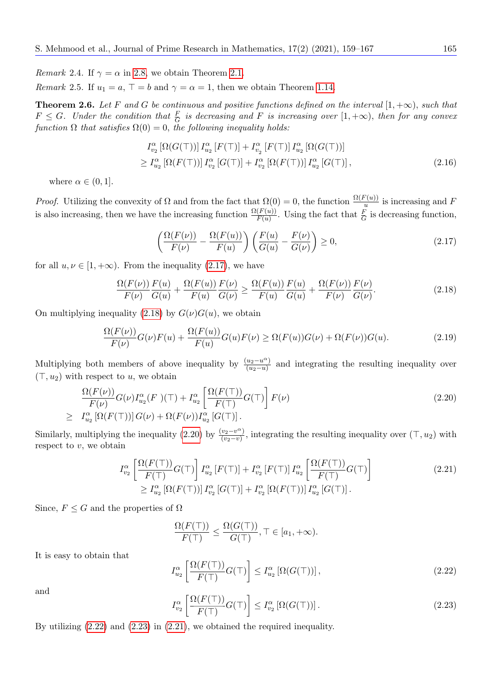*Remark* 2.4. If  $\gamma = \alpha$  in [2.8,](#page-5-7) we obtain Theorem [2.1.](#page-4-7)

Remark 2.5. If  $u_1 = a$ ,  $\top = b$  and  $\gamma = \alpha = 1$ , then we obtain Theorem [1.14.](#page-3-4)

**Theorem 2.6.** Let F and G be continuous and positive functions defined on the interval  $[1, +\infty)$ , such that  $F \leq G$ . Under the condition that  $\frac{F}{G}$  is decreasing and F is increasing over  $[1, +\infty)$ , then for any convex function  $\Omega$  that satisfies  $\Omega(0) = 0$ , the following inequality holds:

$$
I_{v_2}^{\alpha} \left[ \Omega(G(\top)) \right] I_{u_2}^{\alpha} \left[ F(\top) \right] + I_{v_2}^{\alpha} \left[ F(\top) \right] I_{u_2}^{\alpha} \left[ \Omega(G(\top)) \right]
$$
  
\n
$$
\geq I_{u_2}^{\alpha} \left[ \Omega(F(\top)) \right] I_{v_2}^{\alpha} \left[ G(\top) \right] + I_{v_2}^{\alpha} \left[ \Omega(F(\top)) \right] I_{u_2}^{\alpha} \left[ G(\top) \right], \tag{2.16}
$$

where  $\alpha \in (0,1]$ .

*Proof.* Utilizing the convexity of  $\Omega$  and from the fact that  $\Omega(0) = 0$ , the function  $\frac{\Omega(F(u))}{u}$  is increasing and F is also increasing, then we have the increasing function  $\frac{\Omega(F(u))}{F(u)}$ . Using the fact that  $\frac{F}{G}$  is decreasing function,

<span id="page-6-0"></span>
$$
\left(\frac{\Omega(F(\nu))}{F(\nu)} - \frac{\Omega(F(u))}{F(u)}\right) \left(\frac{F(u)}{G(u)} - \frac{F(\nu)}{G(\nu)}\right) \ge 0,
$$
\n(2.17)

for all  $u, \nu \in [1, +\infty)$ . From the inequality (2.[17\)](#page-6-0), we have

<span id="page-6-1"></span>
$$
\frac{\Omega(F(\nu))}{F(\nu)} \frac{F(u)}{G(u)} + \frac{\Omega(F(u))}{F(u)} \frac{F(\nu)}{G(\nu)} \ge \frac{\Omega(F(u))}{F(u)} \frac{F(u)}{G(u)} + \frac{\Omega(F(\nu))}{F(\nu)} \frac{F(\nu)}{G(\nu)}.
$$
\n(2.18)

On multiplying inequality (2.[18\)](#page-6-1) by  $G(\nu)G(u)$ , we obtain

$$
\frac{\Omega(F(\nu))}{F(\nu)}G(\nu)F(u) + \frac{\Omega(F(u))}{F(u)}G(u)F(\nu) \ge \Omega(F(u))G(\nu) + \Omega(F(\nu))G(u). \tag{2.19}
$$

Multiplying both members of above inequality by  $\frac{(u_2-u_1)}{(u_2-u_1)}$  and integrating the resulting inequality over  $(\top, u_2)$  with respect to u, we obtain

<span id="page-6-2"></span>
$$
\frac{\Omega(F(\nu))}{F(\nu)}G(\nu)I_{u_2}^{\alpha}(F)(\top) + I_{u_2}^{\alpha}\left[\frac{\Omega(F(\top))}{F(\top)}G(\top)\right]F(\nu)
$$
\n
$$
\geq I_{u_2}^{\alpha}\left[\Omega(F(\top))\right]G(\nu) + \Omega(F(\nu))I_{u_2}^{\alpha}\left[G(\top)\right].
$$
\n(2.20)

Similarly, multiplying the inequality [\(2.20\)](#page-6-2) by  $\frac{(v_2-v_1)}{(v_2-v)}$ , integrating the resulting inequality over  $(\top, u_2)$  with respect to  $v$ , we obtain

$$
I_{v_2}^{\alpha} \left[ \frac{\Omega(F(\top))}{F(\top)} G(\top) \right] I_{u_2}^{\alpha} \left[ F(\top) \right] + I_{v_2}^{\alpha} \left[ F(\top) \right] I_{u_2}^{\alpha} \left[ \frac{\Omega(F(\top))}{F(\top)} G(\top) \right]
$$
\n
$$
\geq I_{u_2}^{\alpha} \left[ \Omega(F(\top)) \right] I_{v_2}^{\alpha} \left[ G(\top) \right] + I_{v_2}^{\alpha} \left[ \Omega(F(\top)) \right] I_{u_2}^{\alpha} \left[ G(\top) \right]. \tag{2.21}
$$

Since,  $F \leq G$  and the properties of  $\Omega$ 

<span id="page-6-5"></span>
$$
\frac{\Omega(F(\top))}{F(\top)} \le \frac{\Omega(G(\top))}{G(\top)}, \top \in [a_1, +\infty).
$$

It is easy to obtain that

<span id="page-6-3"></span>
$$
I_{u_2}^{\alpha} \left[ \frac{\Omega(F(\top))}{F(\top)} G(\top) \right] \le I_{u_2}^{\alpha} \left[ \Omega(G(\top)) \right], \tag{2.22}
$$

and

<span id="page-6-4"></span>
$$
I_{v_2}^{\alpha} \left[ \frac{\Omega(F(\top))}{F(\top)} G(\top) \right] \le I_{v_2}^{\alpha} \left[ \Omega(G(\top)) \right]. \tag{2.23}
$$

By utilizing (2.[22\)](#page-6-3) and (2.[23\)](#page-6-4) in (2.[21\)](#page-6-5), we obtained the required inequality.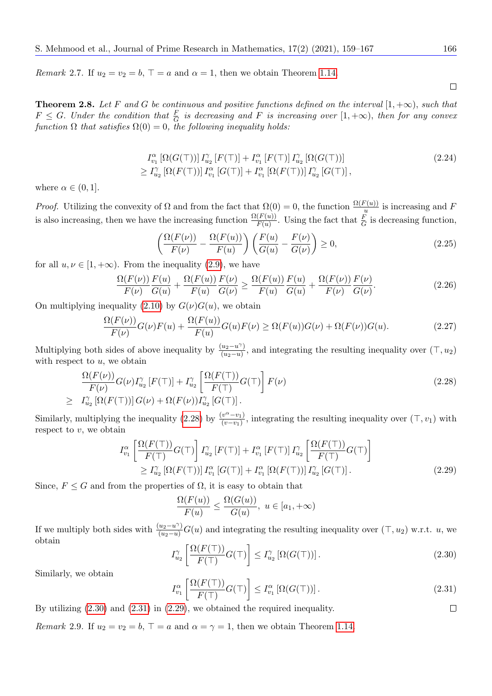Remark 2.7. If  $u_2 = v_2 = b$ ,  $\top = a$  and  $\alpha = 1$ , then we obtain Theorem [1.14.](#page-3-4)

 $\Box$ 

**Theorem 2.8.** Let F and G be continuous and positive functions defined on the interval  $[1, +\infty)$ , such that  $F \leq G$ . Under the condition that  $\frac{F}{G}$  is decreasing and F is increasing over  $[1, +\infty)$ , then for any convex function  $\Omega$  that satisfies  $\Omega(0) = 0$ , the following inequality holds:

$$
I_{v_1}^{\alpha} \left[ \Omega(G(\top)) \right] I_{u_2}^{\gamma} \left[ F(\top) \right] + I_{v_1}^{\alpha} \left[ F(\top) \right] I_{u_2}^{\gamma} \left[ \Omega(G(\top)) \right] \geq I_{u_2}^{\gamma} \left[ \Omega(F(\top)) \right] I_{v_1}^{\alpha} \left[ G(\top) \right] + I_{v_1}^{\alpha} \left[ \Omega(F(\top)) \right] I_{u_2}^{\gamma} \left[ G(\top) \right],
$$
\n(2.24)

where  $\alpha \in (0, 1]$ .

*Proof.* Utilizing the convexity of  $\Omega$  and from the fact that  $\Omega(0) = 0$ , the function  $\frac{\Omega(F(u))}{u}$  is increasing and F is also increasing, then we have the increasing function  $\frac{\Omega(F(u))}{F(u)}$ . Using the fact that  $\frac{F}{G}$  is decreasing function,

$$
\left(\frac{\Omega(F(\nu))}{F(\nu)} - \frac{\Omega(F(u))}{F(u)}\right) \left(\frac{F(u)}{G(u)} - \frac{F(\nu)}{G(\nu)}\right) \ge 0,
$$
\n(2.25)

for all  $u, \nu \in [1, +\infty)$ . From the inequality (2.[9\)](#page-5-0), we have

$$
\frac{\Omega(F(\nu))}{F(\nu)} \frac{F(u)}{G(u)} + \frac{\Omega(F(u))}{F(u)} \frac{F(\nu)}{G(\nu)} \ge \frac{\Omega(F(u))}{F(u)} \frac{F(u)}{G(u)} + \frac{\Omega(F(\nu))}{F(\nu)} \frac{F(\nu)}{G(\nu)}.
$$
\n(2.26)

On multiplying inequality (2.[10\)](#page-5-1) by  $G(\nu)G(u)$ , we obtain

$$
\frac{\Omega(F(\nu))}{F(\nu)}G(\nu)F(u) + \frac{\Omega(F(u))}{F(u)}G(u)F(\nu) \ge \Omega(F(u))G(\nu) + \Omega(F(\nu))G(u). \tag{2.27}
$$

Multiplying both sides of above inequality by  $\frac{(u_2 - u^{\gamma})}{(u_2 - u)}$ , and integrating the resulting inequality over  $(\top, u_2)$ with respect to  $u$ , we obtain

<span id="page-7-0"></span>
$$
\frac{\Omega(F(\nu))}{F(\nu)}G(\nu)I_{u_2}^{\gamma}[F(\top)] + I_{u_2}^{\gamma}\left[\frac{\Omega(F(\top))}{F(\top)}G(\top)\right]F(\nu)
$$
\n
$$
\geq I_{u_2}^{\gamma}[\Omega(F(\top))]G(\nu) + \Omega(F(\nu))I_{u_2}^{\gamma}[G(\top)].
$$
\n(2.28)

Similarly, multiplying the inequality [\(2.28\)](#page-7-0) by  $\frac{(v^{\alpha}-v_1)}{(v-v_1)}$ , integrating the resulting inequality over  $(\top, v_1)$  with respect to  $v$ , we obtain

$$
I_{v_1}^{\alpha} \left[ \frac{\Omega(F(\top))}{F(\top)} G(\top) \right] I_{u_2}^{\gamma} [F(\top)] + I_{v_1}^{\alpha} [F(\top)] I_{u_2}^{\gamma} \left[ \frac{\Omega(F(\top))}{F(\top)} G(\top) \right]
$$
  
\n
$$
\geq I_{u_2}^{\gamma} \left[ \Omega(F(\top)) \right] I_{v_1}^{\alpha} [G(\top)] + I_{v_1}^{\alpha} \left[ \Omega(F(\top)) \right] I_{u_2}^{\gamma} [G(\top)].
$$
\n(2.29)

Since,  $F \leq G$  and from the properties of  $\Omega$ , it is easy to obtain that

<span id="page-7-3"></span>
$$
\frac{\Omega(F(u))}{F(u)} \le \frac{\Omega(G(u))}{G(u)}, \ u \in [a_1, +\infty)
$$

If we multiply both sides with  $\frac{(u_2 - u^{\gamma})}{(u_2 - u)} G(u)$  and integrating the resulting inequality over  $(\top, u_2)$  w.r.t. u, we obtain

<span id="page-7-1"></span>
$$
I_{u_2}^{\gamma} \left[ \frac{\Omega(F(\top))}{F(\top)} G(\top) \right] \le I_{u_2}^{\gamma} \left[ \Omega(G(\top)) \right]. \tag{2.30}
$$

Similarly, we obtain

<span id="page-7-2"></span>
$$
I_{v_1}^{\alpha} \left[ \frac{\Omega(F(\top))}{F(\top)} G(\top) \right] \le I_{v_1}^{\alpha} \left[ \Omega(G(\top)) \right]. \tag{2.31}
$$

By utilizing (2.[30\)](#page-7-1) and (2.[31\)](#page-7-2) in (2.[29\)](#page-7-3), we obtained the required inequality.  $\Box$ 

*Remark* 2.9. If  $u_2 = v_2 = b$ ,  $\top = a$  and  $\alpha = \gamma = 1$ , then we obtain Theorem [1.14.](#page-3-4)